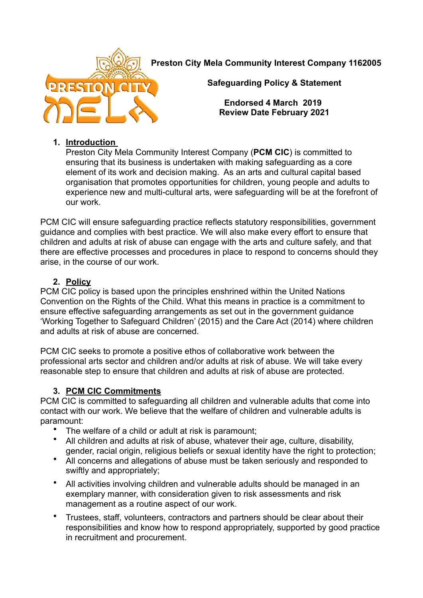**Preston City Mela Community Interest Company 1162005**



**Safeguarding Policy & Statement** 

**Endorsed 4 March 2019 Review Date February 2021**

### **1. Introduction**

Preston City Mela Community Interest Company (**PCM CIC**) is committed to ensuring that its business is undertaken with making safeguarding as a core element of its work and decision making. As an arts and cultural capital based organisation that promotes opportunities for children, young people and adults to experience new and multi-cultural arts, were safeguarding will be at the forefront of our work.

PCM CIC will ensure safeguarding practice reflects statutory responsibilities, government guidance and complies with best practice. We will also make every effort to ensure that children and adults at risk of abuse can engage with the arts and culture safely, and that there are effective processes and procedures in place to respond to concerns should they arise, in the course of our work.

## **2. Policy**

PCM CIC policy is based upon the principles enshrined within the United Nations Convention on the Rights of the Child. What this means in practice is a commitment to ensure effective safeguarding arrangements as set out in the government guidance 'Working Together to Safeguard Children' (2015) and the Care Act (2014) where children and adults at risk of abuse are concerned.

PCM CIC seeks to promote a positive ethos of collaborative work between the professional arts sector and children and/or adults at risk of abuse. We will take every reasonable step to ensure that children and adults at risk of abuse are protected.

## **3. PCM CIC Commitments**

PCM CIC is committed to safeguarding all children and vulnerable adults that come into contact with our work. We believe that the welfare of children and vulnerable adults is paramount:

- The welfare of a child or adult at risk is paramount;<br>• All children and adults at risk of abuse, whatever the
- All children and adults at risk of abuse, whatever their age, culture, disability, gender, racial origin, religious beliefs or sexual identity have the right to protection;
- All concerns and allegations of abuse must be taken seriously and responded to swiftly and appropriately;
- All activities involving children and vulnerable adults should be managed in an exemplary manner, with consideration given to risk assessments and risk management as a routine aspect of our work.
- Trustees, staff, volunteers, contractors and partners should be clear about their responsibilities and know how to respond appropriately, supported by good practice in recruitment and procurement.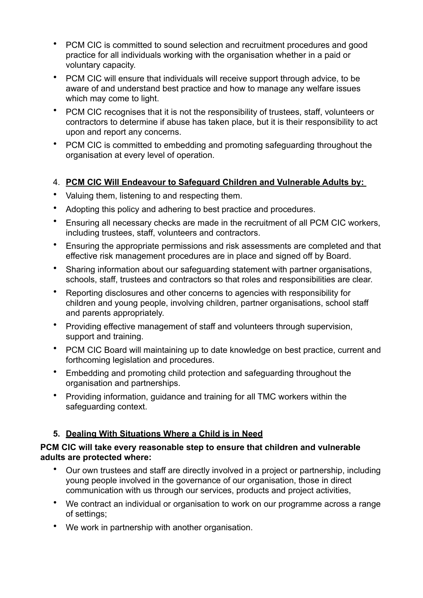- PCM CIC is committed to sound selection and recruitment procedures and good practice for all individuals working with the organisation whether in a paid or voluntary capacity.
- PCM CIC will ensure that individuals will receive support through advice, to be aware of and understand best practice and how to manage any welfare issues which may come to light.
- PCM CIC recognises that it is not the responsibility of trustees, staff, volunteers or contractors to determine if abuse has taken place, but it is their responsibility to act upon and report any concerns.
- PCM CIC is committed to embedding and promoting safeguarding throughout the organisation at every level of operation.

## 4. **PCM CIC Will Endeavour to Safeguard Children and Vulnerable Adults by:**

- Valuing them, listening to and respecting them.
- Adopting this policy and adhering to best practice and procedures.
- Ensuring all necessary checks are made in the recruitment of all PCM CIC workers, including trustees, staff, volunteers and contractors.
- Ensuring the appropriate permissions and risk assessments are completed and that effective risk management procedures are in place and signed off by Board.
- Sharing information about our safeguarding statement with partner organisations, schools, staff, trustees and contractors so that roles and responsibilities are clear.
- Reporting disclosures and other concerns to agencies with responsibility for children and young people, involving children, partner organisations, school staff and parents appropriately.
- Providing effective management of staff and volunteers through supervision, support and training.
- PCM CIC Board will maintaining up to date knowledge on best practice, current and forthcoming legislation and procedures.
- Embedding and promoting child protection and safeguarding throughout the organisation and partnerships.
- Providing information, guidance and training for all TMC workers within the safeguarding context.

## **5. Dealing With Situations Where a Child is in Need**

#### **PCM CIC will take every reasonable step to ensure that children and vulnerable adults are protected where:**

- Our own trustees and staff are directly involved in a project or partnership, including young people involved in the governance of our organisation, those in direct communication with us through our services, products and project activities,
- We contract an individual or organisation to work on our programme across a range of settings;
- We work in partnership with another organisation.